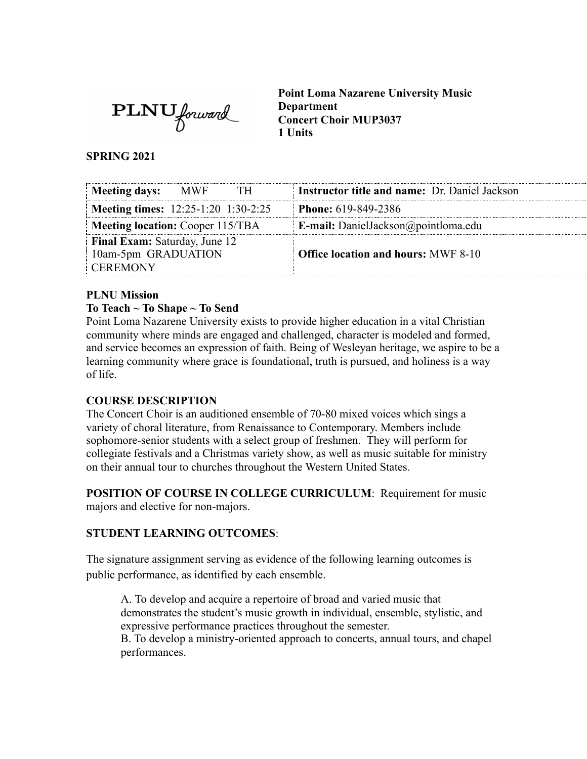

**Point Loma Nazarene University Music Department Concert Choir MUP3037 1 Units** 

#### **SPRING 2021**

| Meeting days:<br><b>MWF</b><br>TН                                              | <b>Instructor title and name: Dr. Daniel Jackson</b> |
|--------------------------------------------------------------------------------|------------------------------------------------------|
| <b>Meeting times:</b> 12:25-1:20 1:30-2:25                                     | <b>Phone:</b> 619-849-2386                           |
| Meeting location: Cooper 115/TBA                                               | <b>E-mail:</b> DanielJackson@pointloma.edu           |
| <b>Final Exam:</b> Saturday, June 12<br>10am-5pm GRADUATION<br><b>CEREMONY</b> | <b>Office location and hours: MWF 8-10</b>           |

#### **PLNU Mission**

#### **To Teach ~ To Shape ~ To Send**

Point Loma Nazarene University exists to provide higher education in a vital Christian community where minds are engaged and challenged, character is modeled and formed, and service becomes an expression of faith. Being of Wesleyan heritage, we aspire to be a learning community where grace is foundational, truth is pursued, and holiness is a way of life.

#### **COURSE DESCRIPTION**

The Concert Choir is an auditioned ensemble of 70-80 mixed voices which sings a variety of choral literature, from Renaissance to Contemporary. Members include sophomore-senior students with a select group of freshmen. They will perform for collegiate festivals and a Christmas variety show, as well as music suitable for ministry on their annual tour to churches throughout the Western United States.

**POSITION OF COURSE IN COLLEGE CURRICULUM: Requirement for music** majors and elective for non-majors.

#### **STUDENT LEARNING OUTCOMES:**

The signature assignment serving as evidence of the following learning outcomes is public performance, as identified by each ensemble.

A. To develop and acquire a repertoire of broad and varied music that demonstrates the student's music growth in individual, ensemble, stylistic, and expressive performance practices throughout the semester.

B. To develop a ministry-oriented approach to concerts, annual tours, and chapel performances.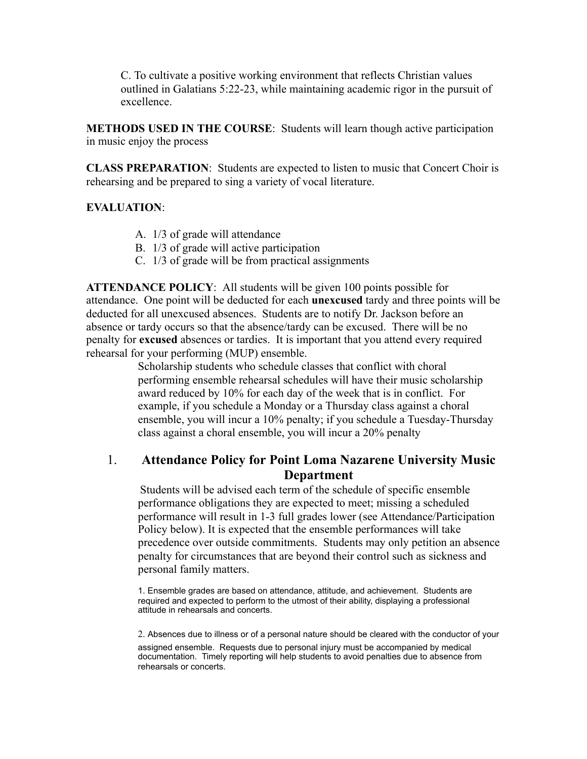C. To cultivate a positive working environment that reflects Christian values outlined in Galatians 5:22-23, while maintaining academic rigor in the pursuit of excellence.

**METHODS USED IN THE COURSE:** Students will learn though active participation in music enjoy the process

**CLASS PREPARATION:** Students are expected to listen to music that Concert Choir is rehearsing and be prepared to sing a variety of vocal literature.

#### **EVALUATION** :

- A. 1/3 of grade will attendance
- B. 1/3 of grade will active participation
- C. 1/3 of grade will be from practical assignments

**ATTENDANCE POLICY** : All students will be given 100 points possible for attendance. One point will be deducted for each **unexcused** tardy and three points will be deducted for all unexcused absences. Students are to notify Dr. Jackson before an absence or tardy occurs so that the absence/tardy can be excused. There will be no penalty for **excused** absences or tardies. It is important that you attend every required rehearsal for your performing (MUP) ensemble.

> Scholarship students who schedule classes that conflict with choral performing ensemble rehearsal schedules will have their music scholarship award reduced by 10% for each day of the week that is in conflict. For example, if you schedule a Monday or a Thursday class against a choral ensemble, you will incur a 10% penalty; if you schedule a Tuesday-Thursday class against a choral ensemble, you will incur a 20% penalty

## 1. **Attendance Policy for Point Loma Nazarene University Music Department**

 Students will be advised each term of the schedule of specific ensemble performance obligations they are expected to meet; missing a scheduled performance will result in 1-3 full grades lower (see Attendance/Participation Policy below). It is expected that the ensemble performances will take precedence over outside commitments. Students may only petition an absence penalty for circumstances that are beyond their control such as sickness and personal family matters.

1. Ensemble grades are based on attendance, attitude, and achievement. Students are required and expected to perform to the utmost of their ability, displaying a professional attitude in rehearsals and concerts.

2. Absences due to illness or of a personal nature should be cleared with the conductor of your

assigned ensemble. Requests due to personal injury must be accompanied by medical documentation. Timely reporting will help students to avoid penalties due to absence from rehearsals or concerts.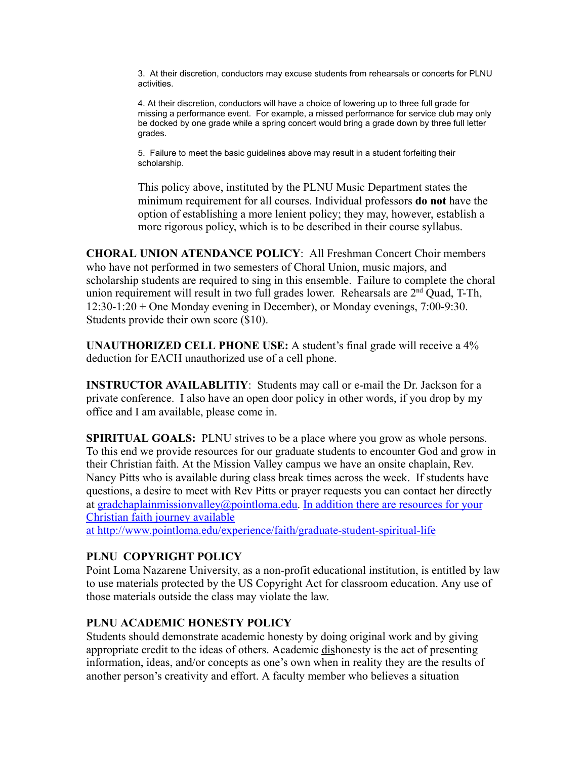3. At their discretion, conductors may excuse students from rehearsals or concerts for PLNU activities.

4. At their discretion, conductors will have a choice of lowering up to three full grade for missing a performance event. For example, a missed performance for service club may only be docked by one grade while a spring concert would bring a grade down by three full letter grades.

5. Failure to meet the basic guidelines above may result in a student forfeiting their scholarship.

This policy above, instituted by the PLNU Music Department states the minimum requirement for all courses. Individual professors **do not** have the option of establishing a more lenient policy; they may, however, establish a more rigorous policy, which is to be described in their course syllabus.

**CHORAL UNION ATENDANCE POLICY** : All Freshman Concert Choir members who have not performed in two semesters of Choral Union, music majors, and scholarship students are required to sing in this ensemble. Failure to complete the choral union requirement will result in two full grades lower. Rehearsals are 2<sup>nd</sup> Quad, T-Th, 12:30-1:20 + One Monday evening in December), or Monday evenings, 7:00-9:30. Students provide their own score (\$10).

**UNAUTHORIZED CELL PHONE USE:** A student's final grade will receive a 4% deduction for EACH unauthorized use of a cell phone.

**INSTRUCTOR AVAILABLITIY:** Students may call or e-mail the Dr. Jackson for a private conference. I also have an open door policy in other words, if you drop by my office and I am available, please come in.

**SPIRITUAL GOALS:** PLNU strives to be a place where you grow as whole persons. To this end we provide resources for our graduate students to encounter God and grow in their Christian faith. At the Mission Valley campus we have an onsite chaplain, Rev. Nancy Pitts who is available during class break times across the week. If students have questions, a desire to meet with Rev Pitts or prayer requests you can contact her directly at [gradchaplainmissionvalley@pointloma.edu](mailto:gradchaplainmissionvalley@pointloma.edu) . In addition there are resources for your Christian faith journey available

at http://www.pointloma.edu/experience/faith/graduate-student-spiritual-life

#### **PLNU COPYRIGHT POLICY**

Point Loma Nazarene University, as a non-profit educational institution, is entitled by law to use materials protected by the US Copyright Act for classroom education. Any use of those materials outside the class may violate the law.

#### **PLNU ACADEMIC HONESTY POLICY**

Students should demonstrate academic honesty by doing original work and by giving appropriate credit to the ideas of others. Academic dishonesty is the act of presenting information, ideas, and/or concepts as one's own when in reality they are the results of another person's creativity and effort. A faculty member who believes a situation